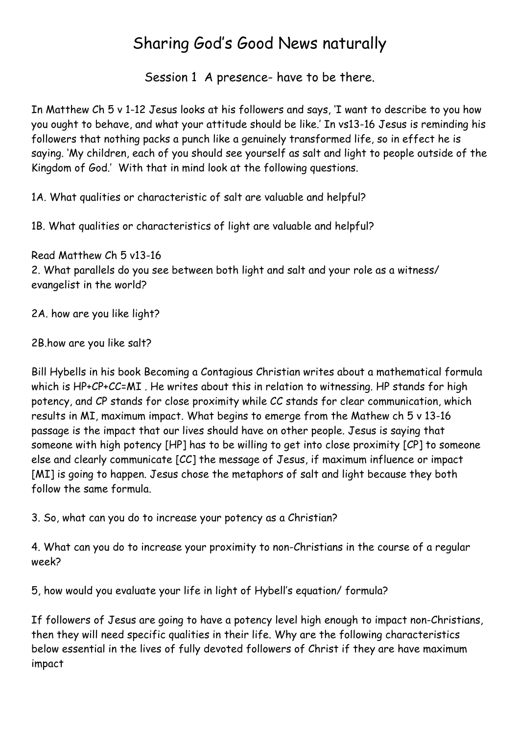### Sharing God's Good News naturally

Session 1 A presence- have to be there.

In Matthew Ch 5 v 1-12 Jesus looks at his followers and says, 'I want to describe to you how you ought to behave, and what your attitude should be like.' In vs13-16 Jesus is reminding his followers that nothing packs a punch like a genuinely transformed life, so in effect he is saying. 'My children, each of you should see yourself as salt and light to people outside of the Kingdom of God.' With that in mind look at the following questions.

1A. What qualities or characteristic of salt are valuable and helpful?

1B. What qualities or characteristics of light are valuable and helpful?

Read Matthew Ch 5 v13-16 2. What parallels do you see between both light and salt and your role as a witness/ evangelist in the world?

2A. how are you like light?

2B.how are you like salt?

Bill Hybells in his book Becoming a Contagious Christian writes about a mathematical formula which is HP+CP+CC=MI. He writes about this in relation to witnessing. HP stands for high potency, and CP stands for close proximity while CC stands for clear communication, which results in MI, maximum impact. What begins to emerge from the Mathew ch 5 v 13-16 passage is the impact that our lives should have on other people. Jesus is saying that someone with high potency [HP] has to be willing to get into close proximity [CP] to someone else and clearly communicate [CC] the message of Jesus, if maximum influence or impact [MI] is going to happen. Jesus chose the metaphors of salt and light because they both follow the same formula.

3. So, what can you do to increase your potency as a Christian?

4. What can you do to increase your proximity to non-Christians in the course of a regular week?

5, how would you evaluate your life in light of Hybell's equation/ formula?

If followers of Jesus are going to have a potency level high enough to impact non-Christians, then they will need specific qualities in their life. Why are the following characteristics below essential in the lives of fully devoted followers of Christ if they are have maximum impact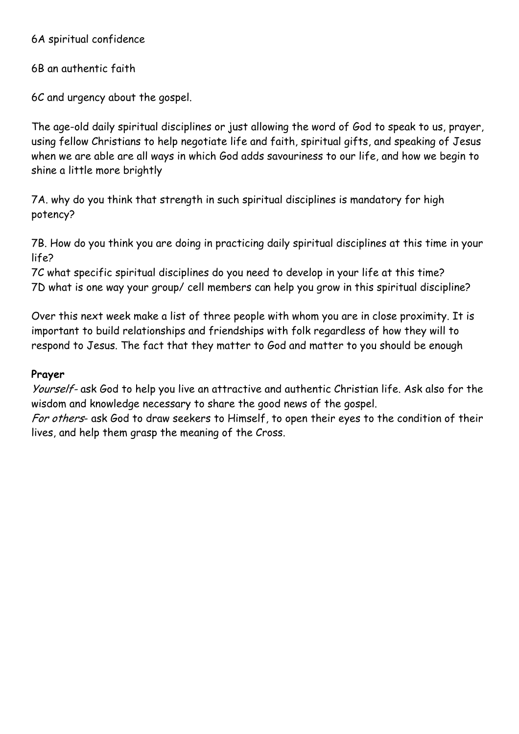6A spiritual confidence

6B an authentic faith

6C and urgency about the gospel.

The age-old daily spiritual disciplines or just allowing the word of God to speak to us, prayer, using fellow Christians to help negotiate life and faith, spiritual gifts, and speaking of Jesus when we are able are all ways in which God adds savouriness to our life, and how we begin to shine a little more brightly

7A. why do you think that strength in such spiritual disciplines is mandatory for high potency?

7B. How do you think you are doing in practicing daily spiritual disciplines at this time in your life?

7C what specific spiritual disciplines do you need to develop in your life at this time? 7D what is one way your group/ cell members can help you grow in this spiritual discipline?

Over this next week make a list of three people with whom you are in close proximity. It is important to build relationships and friendships with folk regardless of how they will to respond to Jesus. The fact that they matter to God and matter to you should be enough

#### **Prayer**

Yourself- ask God to help you live an attractive and authentic Christian life. Ask also for the wisdom and knowledge necessary to share the good news of the gospel.

For others- ask God to draw seekers to Himself, to open their eyes to the condition of their lives, and help them grasp the meaning of the Cross.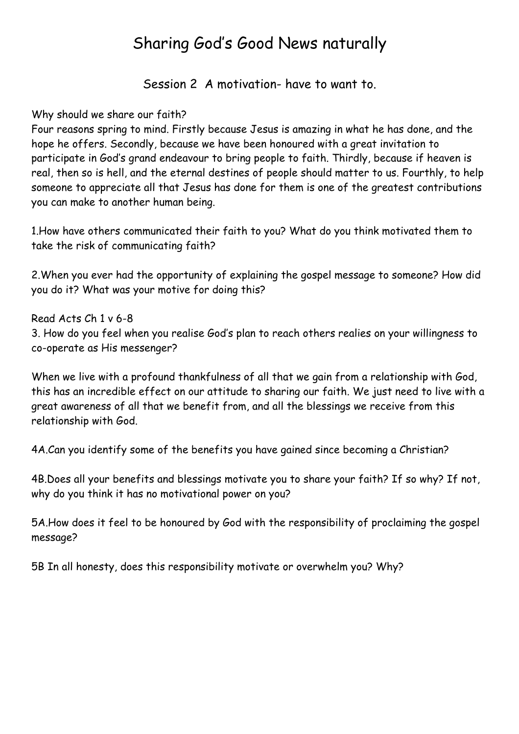### Sharing God's Good News naturally

Session 2 A motivation- have to want to.

Why should we share our faith?

Four reasons spring to mind. Firstly because Jesus is amazing in what he has done, and the hope he offers. Secondly, because we have been honoured with a great invitation to participate in God's grand endeavour to bring people to faith. Thirdly, because if heaven is real, then so is hell, and the eternal destines of people should matter to us. Fourthly, to help someone to appreciate all that Jesus has done for them is one of the greatest contributions you can make to another human being.

1.How have others communicated their faith to you? What do you think motivated them to take the risk of communicating faith?

2.When you ever had the opportunity of explaining the gospel message to someone? How did you do it? What was your motive for doing this?

Read Acts Ch 1 v 6-8 3. How do you feel when you realise God's plan to reach others realies on your willingness to co-operate as His messenger?

When we live with a profound thankfulness of all that we gain from a relationship with God, this has an incredible effect on our attitude to sharing our faith. We just need to live with a great awareness of all that we benefit from, and all the blessings we receive from this relationship with God.

4A.Can you identify some of the benefits you have gained since becoming a Christian?

4B.Does all your benefits and blessings motivate you to share your faith? If so why? If not, why do you think it has no motivational power on you?

5A.How does it feel to be honoured by God with the responsibility of proclaiming the gospel message?

5B In all honesty, does this responsibility motivate or overwhelm you? Why?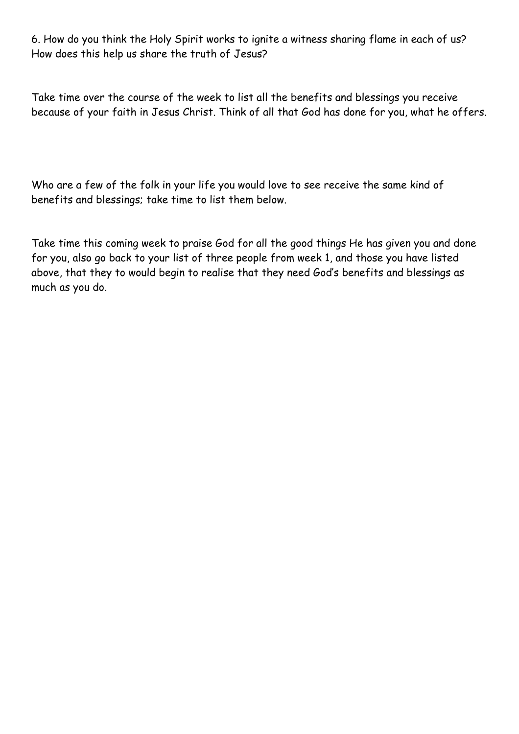6. How do you think the Holy Spirit works to ignite a witness sharing flame in each of us? How does this help us share the truth of Jesus?

Take time over the course of the week to list all the benefits and blessings you receive because of your faith in Jesus Christ. Think of all that God has done for you, what he offers.

Who are a few of the folk in your life you would love to see receive the same kind of benefits and blessings; take time to list them below.

Take time this coming week to praise God for all the good things He has given you and done for you, also go back to your list of three people from week 1, and those you have listed above, that they to would begin to realise that they need God's benefits and blessings as much as you do.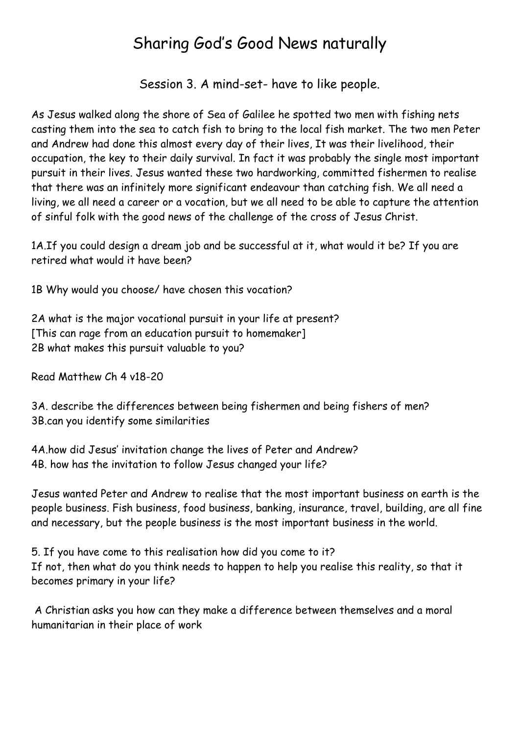### Sharing God's Good News naturally

Session 3. A mind-set- have to like people.

As Jesus walked along the shore of Sea of Galilee he spotted two men with fishing nets casting them into the sea to catch fish to bring to the local fish market. The two men Peter and Andrew had done this almost every day of their lives, It was their livelihood, their occupation, the key to their daily survival. In fact it was probably the single most important pursuit in their lives. Jesus wanted these two hardworking, committed fishermen to realise that there was an infinitely more significant endeavour than catching fish. We all need a living, we all need a career or a vocation, but we all need to be able to capture the attention of sinful folk with the good news of the challenge of the cross of Jesus Christ.

1A.If you could design a dream job and be successful at it, what would it be? If you are retired what would it have been?

1B Why would you choose/ have chosen this vocation?

2A what is the major vocational pursuit in your life at present? [This can rage from an education pursuit to homemaker] 2B what makes this pursuit valuable to you?

Read Matthew Ch 4 v18-20

3A. describe the differences between being fishermen and being fishers of men? 3B.can you identify some similarities

4A.how did Jesus' invitation change the lives of Peter and Andrew? 4B. how has the invitation to follow Jesus changed your life?

Jesus wanted Peter and Andrew to realise that the most important business on earth is the people business. Fish business, food business, banking, insurance, travel, building, are all fine and necessary, but the people business is the most important business in the world.

5. If you have come to this realisation how did you come to it? If not, then what do you think needs to happen to help you realise this reality, so that it becomes primary in your life?

 A Christian asks you how can they make a difference between themselves and a moral humanitarian in their place of work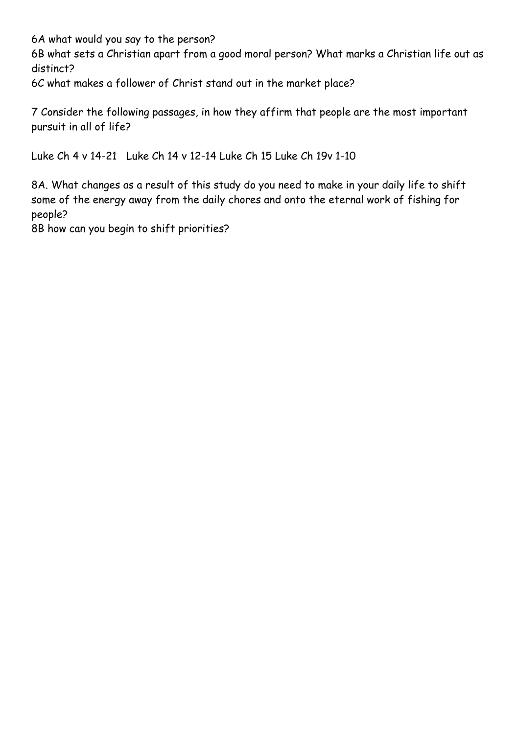6A what would you say to the person?

6B what sets a Christian apart from a good moral person? What marks a Christian life out as distinct?

6C what makes a follower of Christ stand out in the market place?

7 Consider the following passages, in how they affirm that people are the most important pursuit in all of life?

Luke Ch 4 v 14-21 Luke Ch 14 v 12-14 Luke Ch 15 Luke Ch 19v 1-10

8A. What changes as a result of this study do you need to make in your daily life to shift some of the energy away from the daily chores and onto the eternal work of fishing for people?

8B how can you begin to shift priorities?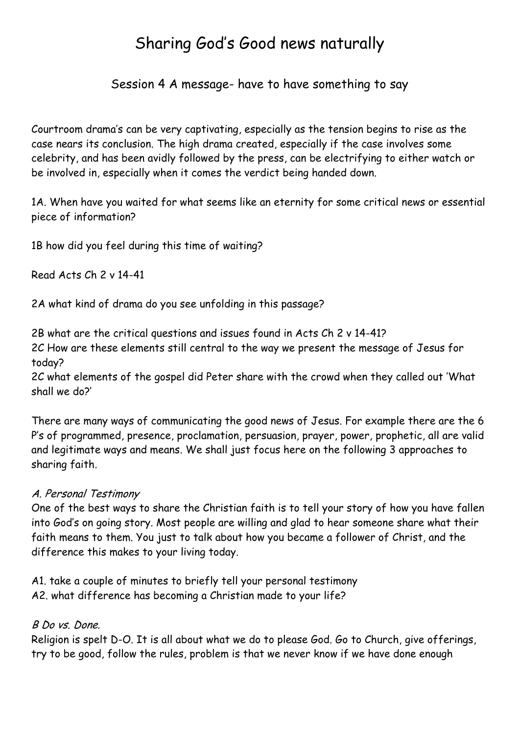### Sharing God's Good news naturally

Session 4 A message- have to have something to say

Courtroom drama's can be very captivating, especially as the tension begins to rise as the case nears its conclusion. The high drama created, especially if the case involves some celebrity, and has been avidly followed by the press, can be electrifying to either watch or be involved in, especially when it comes the verdict being handed down.

1A. When have you waited for what seems like an eternity for some critical news or essential piece of information?

1B how did you feel during this time of waiting?

Read Acts Ch 2 v 14-41

2A what kind of drama do you see unfolding in this passage?

2B what are the critical questions and issues found in Acts Ch 2 v 14-41?

2C How are these elements still central to the way we present the message of Jesus for today?

2C what elements of the gospel did Peter share with the crowd when they called out 'What shall we do?'

There are many ways of communicating the good news of Jesus. For example there are the 6 P's of programmed, presence, proclamation, persuasion, prayer, power, prophetic, all are valid and legitimate ways and means. We shall just focus here on the following 3 approaches to sharing faith.

#### A. Personal Testimony

One of the best ways to share the Christian faith is to tell your story of how you have fallen into God's on going story. Most people are willing and glad to hear someone share what their faith means to them. You just to talk about how you became a follower of Christ, and the difference this makes to your living today.

A1. take a couple of minutes to briefly tell your personal testimony A2. what difference has becoming a Christian made to your life?

#### B Do vs. Done.

Religion is spelt D-O. It is all about what we do to please God. Go to Church, give offerings, try to be good, follow the rules, problem is that we never know if we have done enough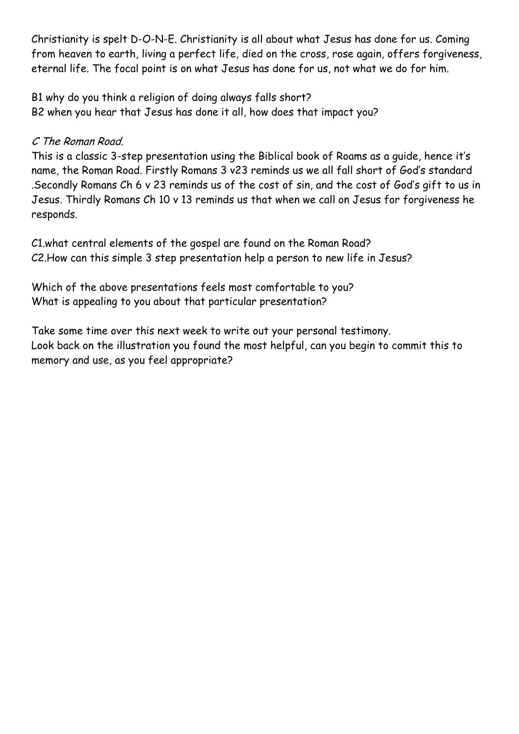Christianity is spelt D-O-N-E. Christianity is all about what Jesus has done for us. Coming from heaven to earth, living a perfect life, died on the cross, rose again, offers forgiveness, eternal life. The focal point is on what Jesus has done for us, not what we do for him.

B1 why do you think a religion of doing always falls short? B2 when you hear that Jesus has done it all, how does that impact you?

#### C The Roman Road.

This is a classic 3-step presentation using the Biblical book of Roams as a guide, hence it's name, the Roman Road. Firstly Romans 3 v23 reminds us we all fall short of God's standard .Secondly Romans Ch 6 v 23 reminds us of the cost of sin, and the cost of God's gift to us in Jesus. Thirdly Romans Ch 10 v 13 reminds us that when we call on Jesus for forgiveness he responds.

C1.what central elements of the gospel are found on the Roman Road? C2.How can this simple 3 step presentation help a person to new life in Jesus?

Which of the above presentations feels most comfortable to you? What is appealing to you about that particular presentation?

Take some time over this next week to write out your personal testimony. Look back on the illustration you found the most helpful, can you begin to commit this to memory and use, as you feel appropriate?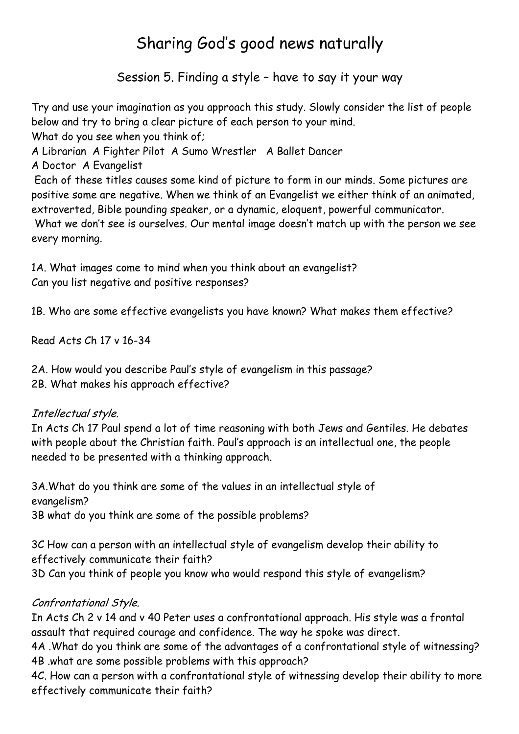# Sharing God's good news naturally

Session 5. Finding a style – have to say it your way

Try and use your imagination as you approach this study. Slowly consider the list of people below and try to bring a clear picture of each person to your mind. What do you see when you think of;

A Librarian A Fighter Pilot A Sumo Wrestler A Ballet Dancer

A Doctor A Evangelist

 Each of these titles causes some kind of picture to form in our minds. Some pictures are positive some are negative. When we think of an Evangelist we either think of an animated, extroverted, Bible pounding speaker, or a dynamic, eloquent, powerful communicator. What we don't see is ourselves. Our mental image doesn't match up with the person we see

every morning.

1A. What images come to mind when you think about an evangelist? Can you list negative and positive responses?

1B. Who are some effective evangelists you have known? What makes them effective?

Read Acts Ch 17 v 16-34

2A. How would you describe Paul's style of evangelism in this passage? 2B. What makes his approach effective?

#### Intellectual style.

In Acts Ch 17 Paul spend a lot of time reasoning with both Jews and Gentiles. He debates with people about the Christian faith. Paul's approach is an intellectual one, the people needed to be presented with a thinking approach.

3A.What do you think are some of the values in an intellectual style of evangelism? 3B what do you think are some of the possible problems?

3C How can a person with an intellectual style of evangelism develop their ability to effectively communicate their faith? 3D Can you think of people you know who would respond this style of evangelism?

#### Confrontational Style.

In Acts Ch 2 v 14 and v 40 Peter uses a confrontational approach. His style was a frontal assault that required courage and confidence. The way he spoke was direct.

4A .What do you think are some of the advantages of a confrontational style of witnessing? 4B .what are some possible problems with this approach?

4C. How can a person with a confrontational style of witnessing develop their ability to more effectively communicate their faith?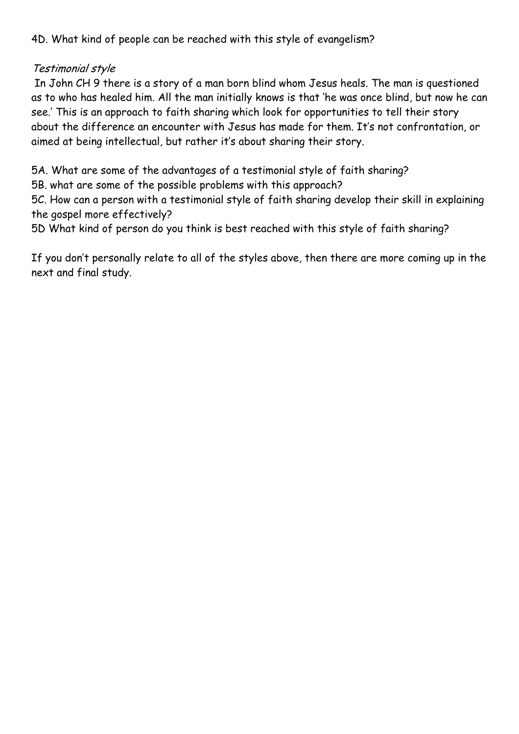4D. What kind of people can be reached with this style of evangelism?

#### Testimonial style

 In John CH 9 there is a story of a man born blind whom Jesus heals. The man is questioned as to who has healed him. All the man initially knows is that 'he was once blind, but now he can see.' This is an approach to faith sharing which look for opportunities to tell their story about the difference an encounter with Jesus has made for them. It's not confrontation, or aimed at being intellectual, but rather it's about sharing their story.

5A. What are some of the advantages of a testimonial style of faith sharing?

5B. what are some of the possible problems with this approach?

5C. How can a person with a testimonial style of faith sharing develop their skill in explaining the gospel more effectively?

5D What kind of person do you think is best reached with this style of faith sharing?

If you don't personally relate to all of the styles above, then there are more coming up in the next and final study.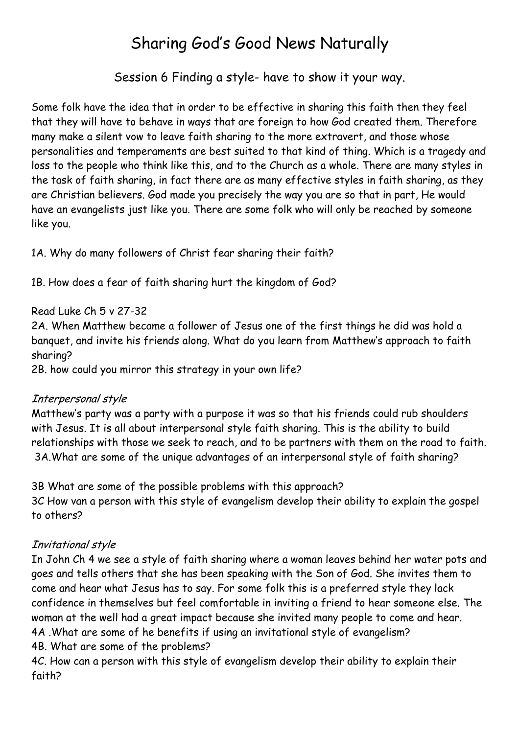## Sharing God's Good News Naturally

Session 6 Finding a style- have to show it your way.

Some folk have the idea that in order to be effective in sharing this faith then they feel that they will have to behave in ways that are foreign to how God created them. Therefore many make a silent vow to leave faith sharing to the more extravert, and those whose personalities and temperaments are best suited to that kind of thing. Which is a tragedy and loss to the people who think like this, and to the Church as a whole. There are many styles in the task of faith sharing, in fact there are as many effective styles in faith sharing, as they are Christian believers. God made you precisely the way you are so that in part, He would have an evangelists just like you. There are some folk who will only be reached by someone like you.

1A. Why do many followers of Christ fear sharing their faith?

1B. How does a fear of faith sharing hurt the kingdom of God?

#### Read Luke Ch 5 v 27-32

2A. When Matthew became a follower of Jesus one of the first things he did was hold a banquet, and invite his friends along. What do you learn from Matthew's approach to faith sharing?

2B. how could you mirror this strategy in your own life?

#### Interpersonal style

Matthew's party was a party with a purpose it was so that his friends could rub shoulders with Jesus. It is all about interpersonal style faith sharing. This is the ability to build relationships with those we seek to reach, and to be partners with them on the road to faith. 3A.What are some of the unique advantages of an interpersonal style of faith sharing?

3B What are some of the possible problems with this approach? 3C How van a person with this style of evangelism develop their ability to explain the gospel to others?

### Invitational style

In John Ch 4 we see a style of faith sharing where a woman leaves behind her water pots and goes and tells others that she has been speaking with the Son of God. She invites them to come and hear what Jesus has to say. For some folk this is a preferred style they lack confidence in themselves but feel comfortable in inviting a friend to hear someone else. The woman at the well had a great impact because she invited many people to come and hear. 4A .What are some of he benefits if using an invitational style of evangelism?

4B. What are some of the problems?

4C. How can a person with this style of evangelism develop their ability to explain their faith?